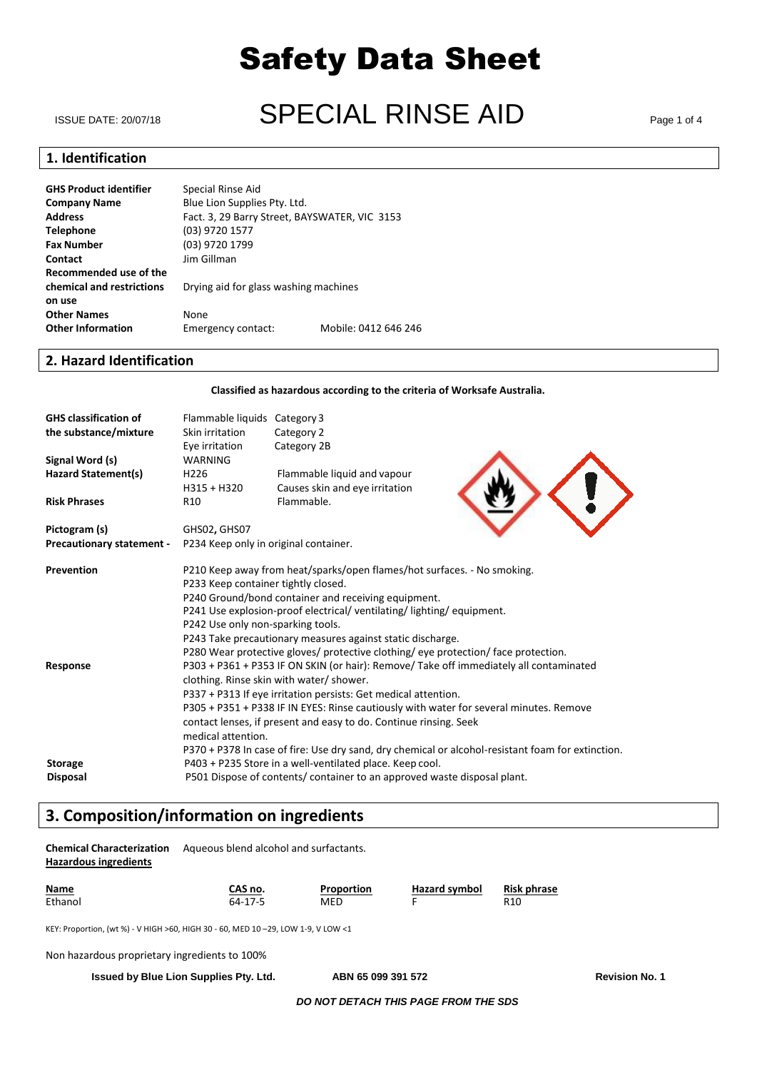# ISSUE DATE: 20/07/18 **SPECIAL RINSE AID**

# **1. Identification**

| <b>GHS Product identifier</b> | Special Rinse Aid                             |                      |
|-------------------------------|-----------------------------------------------|----------------------|
| <b>Company Name</b>           | Blue Lion Supplies Pty. Ltd.                  |                      |
| <b>Address</b>                | Fact. 3, 29 Barry Street, BAYSWATER, VIC 3153 |                      |
| <b>Telephone</b>              | (03) 9720 1577                                |                      |
| <b>Fax Number</b>             | (03) 9720 1799                                |                      |
| <b>Contact</b>                | Jim Gillman                                   |                      |
| Recommended use of the        |                                               |                      |
| chemical and restrictions     | Drying aid for glass washing machines         |                      |
| on use                        |                                               |                      |
| <b>Other Names</b>            | None                                          |                      |
| <b>Other Information</b>      | Emergency contact:                            | Mobile: 0412 646 246 |
|                               |                                               |                      |

### **2. Hazard Identification**

**Classified as hazardous according to the criteria of Worksafe Australia.**

| <b>GHS classification of</b><br>the substance/mixture | Flammable liquids Category 3<br>Skin irritation<br>Eye irritation                      | Category 2<br>Category 2B                                                          |                                                                                                   |  |
|-------------------------------------------------------|----------------------------------------------------------------------------------------|------------------------------------------------------------------------------------|---------------------------------------------------------------------------------------------------|--|
| Signal Word (s)                                       | WARNING                                                                                |                                                                                    |                                                                                                   |  |
| <b>Hazard Statement(s)</b>                            | H <sub>226</sub>                                                                       | Flammable liquid and vapour                                                        |                                                                                                   |  |
|                                                       | H315 + H320                                                                            | Causes skin and eye irritation                                                     |                                                                                                   |  |
| <b>Risk Phrases</b>                                   | R <sub>10</sub>                                                                        | Flammable.                                                                         |                                                                                                   |  |
| Pictogram (s)                                         | GHS02, GHS07                                                                           |                                                                                    |                                                                                                   |  |
| <b>Precautionary statement -</b>                      | P234 Keep only in original container.                                                  |                                                                                    |                                                                                                   |  |
| Prevention                                            | P210 Keep away from heat/sparks/open flames/hot surfaces. - No smoking.                |                                                                                    |                                                                                                   |  |
|                                                       | P233 Keep container tightly closed.                                                    |                                                                                    |                                                                                                   |  |
|                                                       | P240 Ground/bond container and receiving equipment.                                    |                                                                                    |                                                                                                   |  |
|                                                       | P241 Use explosion-proof electrical/ventilating/lighting/equipment.                    |                                                                                    |                                                                                                   |  |
|                                                       | P242 Use only non-sparking tools.                                                      |                                                                                    |                                                                                                   |  |
|                                                       | P243 Take precautionary measures against static discharge.                             |                                                                                    |                                                                                                   |  |
|                                                       |                                                                                        | P280 Wear protective gloves/ protective clothing/ eye protection/ face protection. |                                                                                                   |  |
| Response                                              | P303 + P361 + P353 IF ON SKIN (or hair): Remove/ Take off immediately all contaminated |                                                                                    |                                                                                                   |  |
|                                                       |                                                                                        | clothing. Rinse skin with water/ shower.                                           |                                                                                                   |  |
|                                                       | P337 + P313 If eye irritation persists: Get medical attention.                         |                                                                                    |                                                                                                   |  |
|                                                       | P305 + P351 + P338 IF IN EYES: Rinse cautiously with water for several minutes. Remove |                                                                                    |                                                                                                   |  |
|                                                       | contact lenses, if present and easy to do. Continue rinsing. Seek                      |                                                                                    |                                                                                                   |  |
|                                                       | medical attention.                                                                     |                                                                                    |                                                                                                   |  |
|                                                       |                                                                                        |                                                                                    | P370 + P378 In case of fire: Use dry sand, dry chemical or alcohol-resistant foam for extinction. |  |
| <b>Storage</b>                                        | P403 + P235 Store in a well-ventilated place. Keep cool.                               |                                                                                    |                                                                                                   |  |
| <b>Disposal</b>                                       | P501 Dispose of contents/ container to an approved waste disposal plant.               |                                                                                    |                                                                                                   |  |

# **3. Composition/information on ingredients**

| <b>Chemical Characterization</b><br><b>Hazardous ingredients</b>                 | Aqueous blend alcohol and surfactants. |                   |                      |                    |  |
|----------------------------------------------------------------------------------|----------------------------------------|-------------------|----------------------|--------------------|--|
| <b>Name</b><br>Ethanol                                                           | CAS no.<br>64-17-5                     | Proportion<br>MED | <b>Hazard symbol</b> | Risk phrase<br>R10 |  |
| KEY: Proportion, (wt %) - V HIGH >60, HIGH 30 - 60, MED 10-29, LOW 1-9, V LOW <1 |                                        |                   |                      |                    |  |

Non hazardous proprietary ingredients to 100%

**Issued by Blue Lion Supplies Pty. Ltd. ABN 65 099 391 572 Revision No. 1**

*DO NOT DETACH THIS PAGE FROM THE SDS*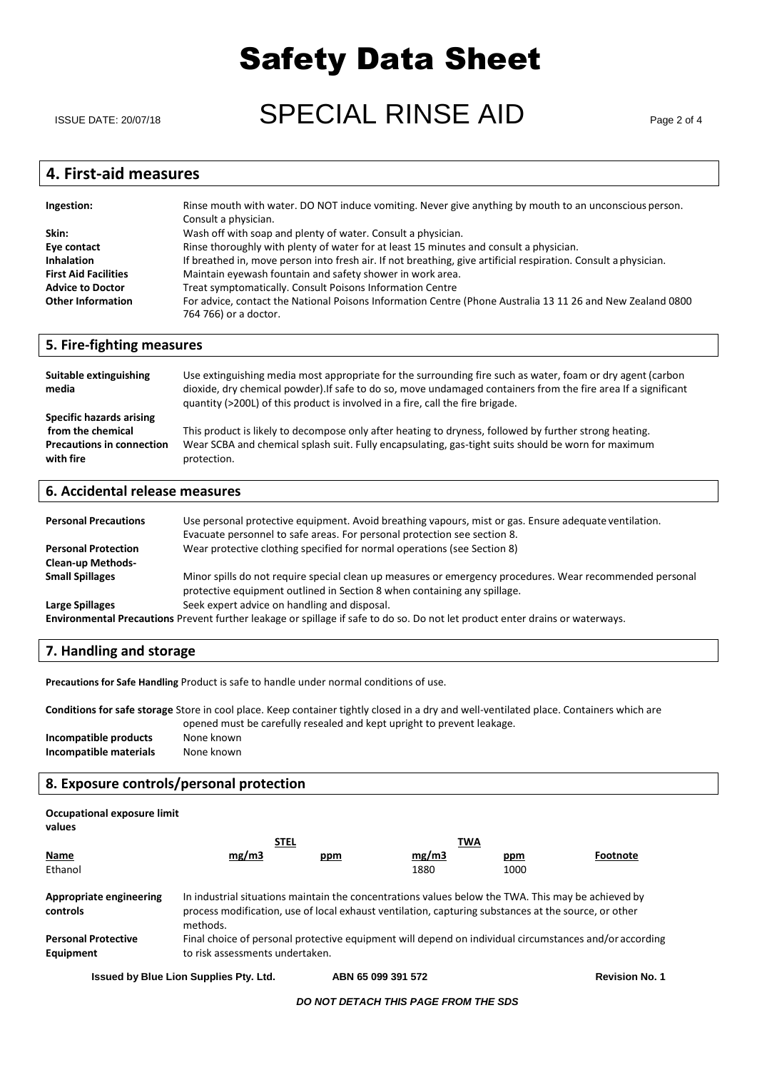ISSUE DATE: 20/07/18  $\blacksquare$   $\blacksquare$   $\blacksquare$   $\blacksquare$   $\blacksquare$   $\blacksquare$   $\blacksquare$   $\blacksquare$   $\blacksquare$   $\blacksquare$   $\blacksquare$   $\blacksquare$   $\blacksquare$   $\blacksquare$   $\blacksquare$   $\blacksquare$   $\blacksquare$   $\blacksquare$   $\blacksquare$   $\blacksquare$   $\blacksquare$   $\blacksquare$   $\blacksquare$   $\blacksquare$   $\blacksquare$   $\blacksquare$   $\blacksquare$   $\blacksquare$   $\blacks$ 

### **4. First-aid measures**

| Ingestion:                  | Rinse mouth with water. DO NOT induce vomiting. Never give anything by mouth to an unconscious person.<br>Consult a physician.      |
|-----------------------------|-------------------------------------------------------------------------------------------------------------------------------------|
| Skin:                       | Wash off with soap and plenty of water. Consult a physician.                                                                        |
| Eye contact                 | Rinse thoroughly with plenty of water for at least 15 minutes and consult a physician.                                              |
| <b>Inhalation</b>           | If breathed in, move person into fresh air. If not breathing, give artificial respiration. Consult a physician.                     |
| <b>First Aid Facilities</b> | Maintain eyewash fountain and safety shower in work area.                                                                           |
| <b>Advice to Doctor</b>     | Treat symptomatically. Consult Poisons Information Centre                                                                           |
| <b>Other Information</b>    | For advice, contact the National Poisons Information Centre (Phone Australia 13 11 26 and New Zealand 0800<br>764 766) or a doctor. |

#### **5. Fire-fighting measures**

| Suitable extinguishing<br>media                                                                | Use extinguishing media most appropriate for the surrounding fire such as water, foam or dry agent (carbon<br>dioxide, dry chemical powder). If safe to do so, move undamaged containers from the fire area If a significant<br>quantity (>200L) of this product is involved in a fire, call the fire brigade. |
|------------------------------------------------------------------------------------------------|----------------------------------------------------------------------------------------------------------------------------------------------------------------------------------------------------------------------------------------------------------------------------------------------------------------|
| Specific hazards arising<br>from the chemical<br><b>Precautions in connection</b><br>with fire | This product is likely to decompose only after heating to dryness, followed by further strong heating.<br>Wear SCBA and chemical splash suit. Fully encapsulating, gas-tight suits should be worn for maximum<br>protection.                                                                                   |

#### **6. Accidental release measures**

| <b>Personal Precautions</b> | Use personal protective equipment. Avoid breathing vapours, mist or gas. Ensure adequate ventilation.<br>Evacuate personnel to safe areas. For personal protection see section 8.    |
|-----------------------------|--------------------------------------------------------------------------------------------------------------------------------------------------------------------------------------|
| <b>Personal Protection</b>  | Wear protective clothing specified for normal operations (see Section 8)                                                                                                             |
| <b>Clean-up Methods-</b>    |                                                                                                                                                                                      |
| <b>Small Spillages</b>      | Minor spills do not require special clean up measures or emergency procedures. Wear recommended personal<br>protective equipment outlined in Section 8 when containing any spillage. |
| Large Spillages             | Seek expert advice on handling and disposal.                                                                                                                                         |
|                             | Environmental Precautions Prevent further leakage or spillage if safe to do so. Do not let product enter drains or waterways.                                                        |

### **7. Handling and storage**

**Precautions for Safe Handling** Product is safe to handle under normal conditions of use.

**Conditions for safe storage** Store in cool place. Keep container tightly closed in a dry and well-ventilated place. Containers which are opened must be carefully resealed and kept upright to prevent leakage. **Incompatible products** None known **Incompatible materials** None known

### **8. Exposure controls/personal protection**

| Occupational exposure limit<br>values   |                                                                                                                                                                                                                        |     |       |            |                                                                                                        |
|-----------------------------------------|------------------------------------------------------------------------------------------------------------------------------------------------------------------------------------------------------------------------|-----|-------|------------|--------------------------------------------------------------------------------------------------------|
|                                         | <b>STEL</b>                                                                                                                                                                                                            |     | TWA   |            |                                                                                                        |
| Name                                    | mg/m3                                                                                                                                                                                                                  | ppm | mg/m3 | <u>ppm</u> | Footnote                                                                                               |
| Ethanol                                 |                                                                                                                                                                                                                        |     | 1880  | 1000       |                                                                                                        |
| Appropriate engineering<br>controls     | In industrial situations maintain the concentrations values below the TWA. This may be achieved by<br>process modification, use of local exhaust ventilation, capturing substances at the source, or other<br>methods. |     |       |            |                                                                                                        |
| <b>Personal Protective</b><br>Equipment | to risk assessments undertaken.                                                                                                                                                                                        |     |       |            | Final choice of personal protective equipment will depend on individual circumstances and/or according |

**Issued by Blue Lion Supplies Pty. Ltd. ABN 65 099 391 572 Revision No. 1**

#### *DO NOT DETACH THIS PAGE FROM THE SDS*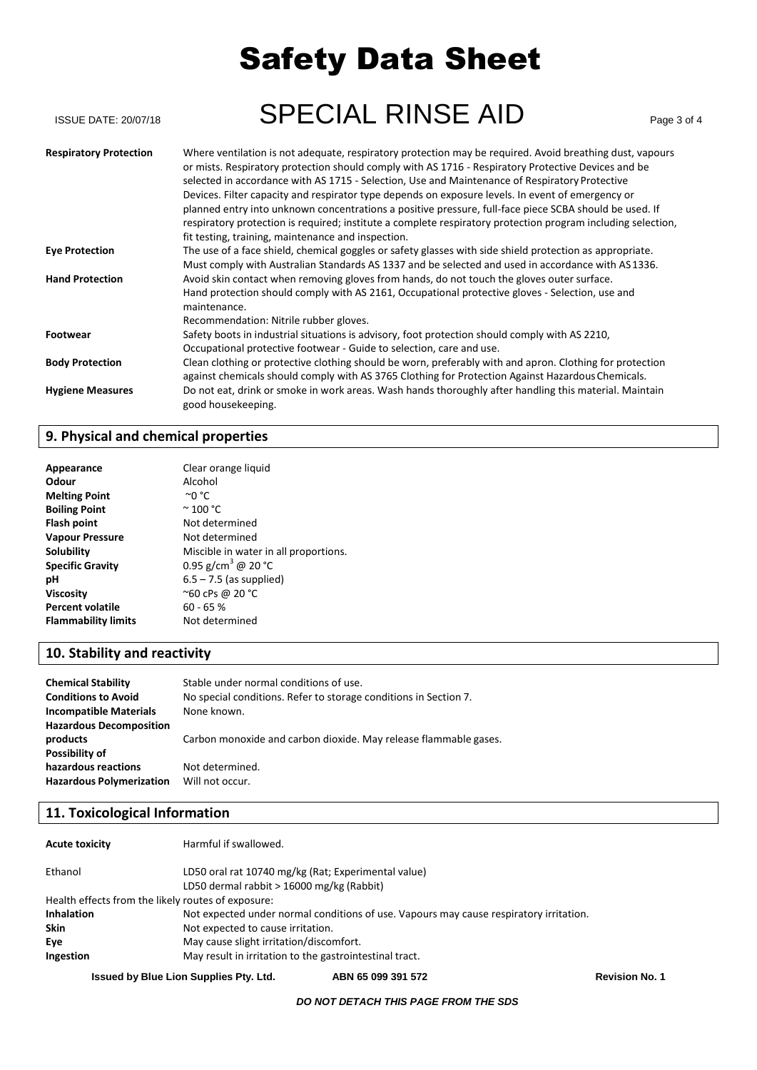| <b>ISSUE DATE: 20/07/18</b>   | <b>SPECIAL RINSE AID</b>                                                                                                                                                                                                                                                                                                                                                                                                                                                                                                                                                                                                                                                                               | Page 3 of 4 |
|-------------------------------|--------------------------------------------------------------------------------------------------------------------------------------------------------------------------------------------------------------------------------------------------------------------------------------------------------------------------------------------------------------------------------------------------------------------------------------------------------------------------------------------------------------------------------------------------------------------------------------------------------------------------------------------------------------------------------------------------------|-------------|
| <b>Respiratory Protection</b> | Where ventilation is not adequate, respiratory protection may be required. Avoid breathing dust, vapours<br>or mists. Respiratory protection should comply with AS 1716 - Respiratory Protective Devices and be<br>selected in accordance with AS 1715 - Selection, Use and Maintenance of Respiratory Protective<br>Devices. Filter capacity and respirator type depends on exposure levels. In event of emergency or<br>planned entry into unknown concentrations a positive pressure, full-face piece SCBA should be used. If<br>respiratory protection is required; institute a complete respiratory protection program including selection,<br>fit testing, training, maintenance and inspection. |             |
| <b>Eye Protection</b>         | The use of a face shield, chemical goggles or safety glasses with side shield protection as appropriate.<br>Must comply with Australian Standards AS 1337 and be selected and used in accordance with AS 1336.                                                                                                                                                                                                                                                                                                                                                                                                                                                                                         |             |
| <b>Hand Protection</b>        | Avoid skin contact when removing gloves from hands, do not touch the gloves outer surface.<br>Hand protection should comply with AS 2161, Occupational protective gloves - Selection, use and<br>maintenance.<br>Recommendation: Nitrile rubber gloves.                                                                                                                                                                                                                                                                                                                                                                                                                                                |             |
| <b>Footwear</b>               | Safety boots in industrial situations is advisory, foot protection should comply with AS 2210,<br>Occupational protective footwear - Guide to selection, care and use.                                                                                                                                                                                                                                                                                                                                                                                                                                                                                                                                 |             |
| <b>Body Protection</b>        | Clean clothing or protective clothing should be worn, preferably with and apron. Clothing for protection<br>against chemicals should comply with AS 3765 Clothing for Protection Against Hazardous Chemicals.                                                                                                                                                                                                                                                                                                                                                                                                                                                                                          |             |
| <b>Hygiene Measures</b>       | Do not eat, drink or smoke in work areas. Wash hands thoroughly after handling this material. Maintain<br>good housekeeping.                                                                                                                                                                                                                                                                                                                                                                                                                                                                                                                                                                           |             |

# **9. Physical and chemical properties**

| Appearance                 | Clear orange liquid                   |
|----------------------------|---------------------------------------|
| Odour                      | Alcohol                               |
| <b>Melting Point</b>       | ∼o °C                                 |
| <b>Boiling Point</b>       | $\sim$ 100 °C                         |
| <b>Flash point</b>         | Not determined                        |
| <b>Vapour Pressure</b>     | Not determined                        |
| <b>Solubility</b>          | Miscible in water in all proportions. |
| <b>Specific Gravity</b>    | 0.95 g/cm <sup>3</sup> @ 20 °C        |
| рH                         | $6.5 - 7.5$ (as supplied)             |
| <b>Viscosity</b>           | ~60 cPs @ 20 °C                       |
| <b>Percent volatile</b>    | $60 - 65 %$                           |
| <b>Flammability limits</b> | Not determined                        |

# **10. Stability and reactivity**

| <b>Chemical Stability</b>       | Stable under normal conditions of use.                           |
|---------------------------------|------------------------------------------------------------------|
| <b>Conditions to Avoid</b>      | No special conditions. Refer to storage conditions in Section 7. |
| <b>Incompatible Materials</b>   | None known.                                                      |
| <b>Hazardous Decomposition</b>  |                                                                  |
| products                        | Carbon monoxide and carbon dioxide. May release flammable gases. |
| Possibility of                  |                                                                  |
| hazardous reactions             | Not determined.                                                  |
| <b>Hazardous Polymerization</b> | Will not occur.                                                  |
|                                 |                                                                  |

# **11. Toxicological Information**

| <b>Acute toxicity</b>                              | Harmful if swallowed.                                                                  |  |
|----------------------------------------------------|----------------------------------------------------------------------------------------|--|
| Ethanol                                            | LD50 oral rat 10740 mg/kg (Rat; Experimental value)                                    |  |
|                                                    | LD50 dermal rabbit > 16000 mg/kg (Rabbit)                                              |  |
| Health effects from the likely routes of exposure: |                                                                                        |  |
| <b>Inhalation</b>                                  | Not expected under normal conditions of use. Vapours may cause respiratory irritation. |  |
| <b>Skin</b>                                        | Not expected to cause irritation.                                                      |  |
| Eye                                                | May cause slight irritation/discomfort.                                                |  |
| Ingestion                                          | May result in irritation to the gastrointestinal tract.                                |  |

**Issued by Blue Lion Supplies Pty. Ltd. ABN 65 099 391 572 Revision No. 1**

#### *DO NOT DETACH THIS PAGE FROM THE SDS*